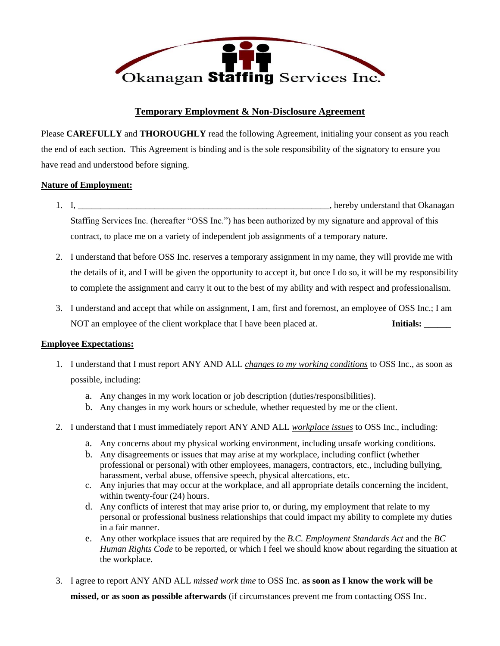

# **Temporary Employment & Non-Disclosure Agreement**

Please **CAREFULLY** and **THOROUGHLY** read the following Agreement, initialing your consent as you reach the end of each section. This Agreement is binding and is the sole responsibility of the signatory to ensure you have read and understood before signing.

## **Nature of Employment:**

- 1. I, \_\_\_\_\_\_\_\_\_\_\_\_\_\_\_\_\_\_\_\_\_\_\_\_\_\_\_\_\_\_\_\_\_\_\_\_\_\_\_\_\_\_\_\_\_\_\_\_\_\_\_\_\_\_\_\_, hereby understand that Okanagan Staffing Services Inc. (hereafter "OSS Inc.") has been authorized by my signature and approval of this contract, to place me on a variety of independent job assignments of a temporary nature.
- 2. I understand that before OSS Inc. reserves a temporary assignment in my name, they will provide me with the details of it, and I will be given the opportunity to accept it, but once I do so, it will be my responsibility to complete the assignment and carry it out to the best of my ability and with respect and professionalism.
- 3. I understand and accept that while on assignment, I am, first and foremost, an employee of OSS Inc.; I am NOT an employee of the client workplace that I have been placed at. **Initials:** \_\_\_\_\_\_

#### **Employee Expectations:**

- 1. I understand that I must report ANY AND ALL *changes to my working conditions* to OSS Inc., as soon as possible, including:
	- a. Any changes in my work location or job description (duties/responsibilities).
	- b. Any changes in my work hours or schedule, whether requested by me or the client.
- 2. I understand that I must immediately report ANY AND ALL *workplace issues* to OSS Inc., including:
	- a. Any concerns about my physical working environment, including unsafe working conditions.
	- b. Any disagreements or issues that may arise at my workplace, including conflict (whether professional or personal) with other employees, managers, contractors, etc., including bullying, harassment, verbal abuse, offensive speech, physical altercations, etc.
	- c. Any injuries that may occur at the workplace, and all appropriate details concerning the incident, within twenty-four (24) hours.
	- d. Any conflicts of interest that may arise prior to, or during, my employment that relate to my personal or professional business relationships that could impact my ability to complete my duties in a fair manner.
	- e. Any other workplace issues that are required by the *B.C. Employment Standards Act* and the *BC Human Rights Code* to be reported, or which I feel we should know about regarding the situation at the workplace.
- 3. I agree to report ANY AND ALL *missed work time* to OSS Inc. **as soon as I know the work will be missed, or as soon as possible afterwards** (if circumstances prevent me from contacting OSS Inc.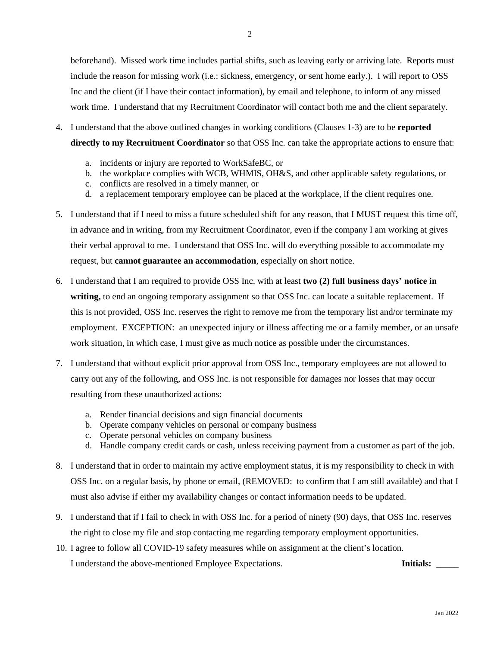beforehand). Missed work time includes partial shifts, such as leaving early or arriving late. Reports must include the reason for missing work (i.e.: sickness, emergency, or sent home early.). I will report to OSS Inc and the client (if I have their contact information), by email and telephone, to inform of any missed work time. I understand that my Recruitment Coordinator will contact both me and the client separately.

- 4. I understand that the above outlined changes in working conditions (Clauses 1-3) are to be **reported directly to my Recruitment Coordinator** so that OSS Inc. can take the appropriate actions to ensure that:
	- a. incidents or injury are reported to WorkSafeBC, or
	- b. the workplace complies with WCB, WHMIS, OH&S, and other applicable safety regulations, or
	- c. conflicts are resolved in a timely manner, or
	- d. a replacement temporary employee can be placed at the workplace, if the client requires one.
- 5. I understand that if I need to miss a future scheduled shift for any reason, that I MUST request this time off, in advance and in writing, from my Recruitment Coordinator, even if the company I am working at gives their verbal approval to me. I understand that OSS Inc. will do everything possible to accommodate my request, but **cannot guarantee an accommodation**, especially on short notice.
- 6. I understand that I am required to provide OSS Inc. with at least **two (2) full business days' notice in writing,** to end an ongoing temporary assignment so that OSS Inc. can locate a suitable replacement. If this is not provided, OSS Inc. reserves the right to remove me from the temporary list and/or terminate my employment. EXCEPTION: an unexpected injury or illness affecting me or a family member, or an unsafe work situation, in which case, I must give as much notice as possible under the circumstances.
- 7. I understand that without explicit prior approval from OSS Inc., temporary employees are not allowed to carry out any of the following, and OSS Inc. is not responsible for damages nor losses that may occur resulting from these unauthorized actions:
	- a. Render financial decisions and sign financial documents
	- b. Operate company vehicles on personal or company business
	- c. Operate personal vehicles on company business
	- d. Handle company credit cards or cash, unless receiving payment from a customer as part of the job.
- 8. I understand that in order to maintain my active employment status, it is my responsibility to check in with OSS Inc. on a regular basis, by phone or email, (REMOVED: to confirm that I am still available) and that I must also advise if either my availability changes or contact information needs to be updated.
- 9. I understand that if I fail to check in with OSS Inc. for a period of ninety (90) days, that OSS Inc. reserves the right to close my file and stop contacting me regarding temporary employment opportunities.
- 10. I agree to follow all COVID-19 safety measures while on assignment at the client's location. I understand the above-mentioned Employee Expectations. **Initials:** \_\_\_\_\_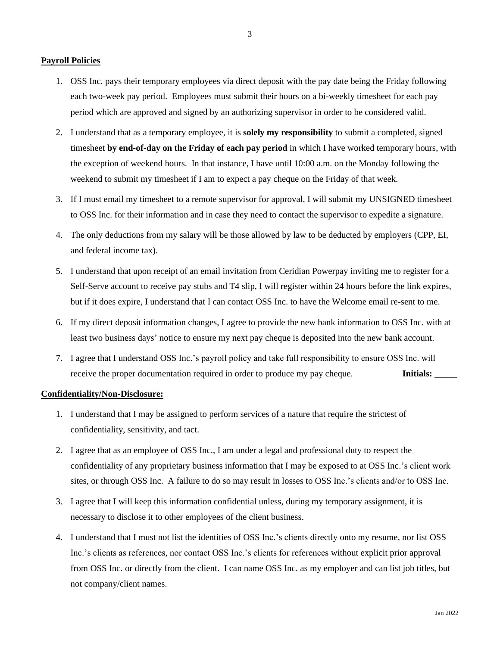### **Payroll Policies**

- 1. OSS Inc. pays their temporary employees via direct deposit with the pay date being the Friday following each two-week pay period. Employees must submit their hours on a bi-weekly timesheet for each pay period which are approved and signed by an authorizing supervisor in order to be considered valid.
- 2. I understand that as a temporary employee, it is **solely my responsibility** to submit a completed, signed timesheet **by end-of-day on the Friday of each pay period** in which I have worked temporary hours, with the exception of weekend hours. In that instance, I have until 10:00 a.m. on the Monday following the weekend to submit my timesheet if I am to expect a pay cheque on the Friday of that week.
- 3. If I must email my timesheet to a remote supervisor for approval, I will submit my UNSIGNED timesheet to OSS Inc. for their information and in case they need to contact the supervisor to expedite a signature.
- 4. The only deductions from my salary will be those allowed by law to be deducted by employers (CPP, EI, and federal income tax).
- 5. I understand that upon receipt of an email invitation from Ceridian Powerpay inviting me to register for a Self-Serve account to receive pay stubs and T4 slip, I will register within 24 hours before the link expires, but if it does expire, I understand that I can contact OSS Inc. to have the Welcome email re-sent to me.
- 6. If my direct deposit information changes, I agree to provide the new bank information to OSS Inc. with at least two business days' notice to ensure my next pay cheque is deposited into the new bank account.
- 7. I agree that I understand OSS Inc.'s payroll policy and take full responsibility to ensure OSS Inc. will receive the proper documentation required in order to produce my pay cheque. **Initials:**

#### **Confidentiality/Non-Disclosure:**

- 1. I understand that I may be assigned to perform services of a nature that require the strictest of confidentiality, sensitivity, and tact.
- 2. I agree that as an employee of OSS Inc., I am under a legal and professional duty to respect the confidentiality of any proprietary business information that I may be exposed to at OSS Inc.'s client work sites, or through OSS Inc. A failure to do so may result in losses to OSS Inc.'s clients and/or to OSS Inc.
- 3. I agree that I will keep this information confidential unless, during my temporary assignment, it is necessary to disclose it to other employees of the client business.
- 4. I understand that I must not list the identities of OSS Inc.'s clients directly onto my resume, nor list OSS Inc.'s clients as references, nor contact OSS Inc.'s clients for references without explicit prior approval from OSS Inc. or directly from the client. I can name OSS Inc. as my employer and can list job titles, but not company/client names.